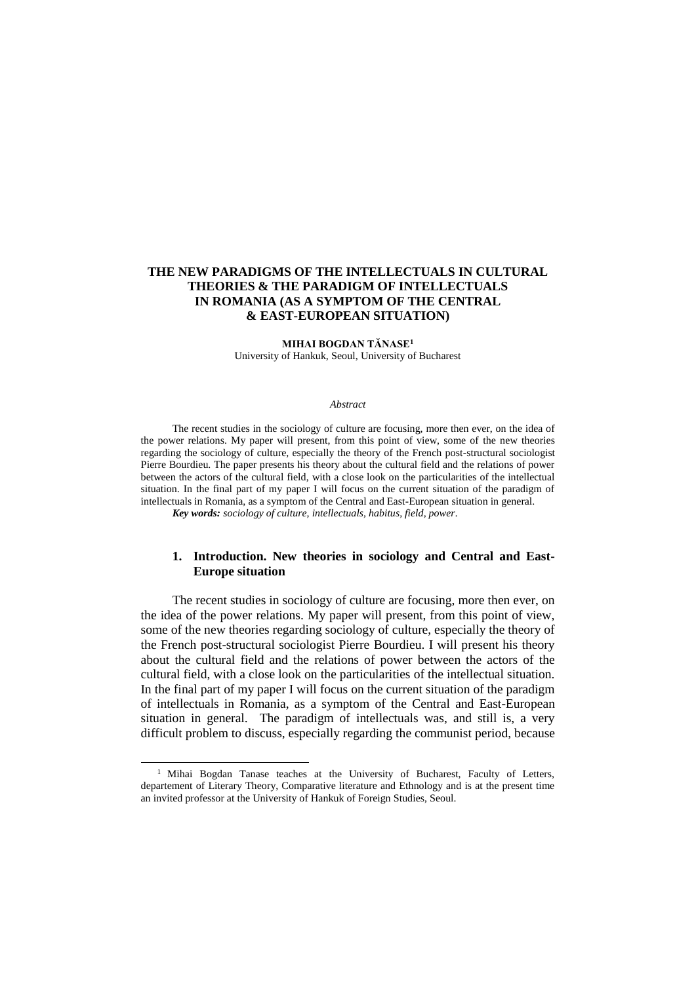# **THE NEW PARADIGMS OF THE INTELLECTUALS IN CULTURAL THEORIES & THE PARADIGM OF INTELLECTUALS IN ROMANIA (AS A SYMPTOM OF THE CENTRAL & EAST-EUROPEAN SITUATION)**

**MIHAI BOGDAN TĂNASE<sup>1</sup>** University of Hankuk, Seoul, University of Bucharest

#### *Abstract*

The recent studies in the sociology of culture are focusing, more then ever, on the idea of the power relations. My paper will present, from this point of view, some of the new theories regarding the sociology of culture, especially the theory of the French post-structural sociologist Pierre Bourdieu. The paper presents his theory about the cultural field and the relations of power between the actors of the cultural field, with a close look on the particularities of the intellectual situation. In the final part of my paper I will focus on the current situation of the paradigm of intellectuals in Romania, as a symptom of the Central and East-European situation in general. *Key words: sociology of culture, intellectuals, habitus, field, power.*

### **1. Introduction. New theories in sociology and Central and East-Europe situation**

The recent studies in sociology of culture are focusing, more then ever, on the idea of the power relations. My paper will present, from this point of view, some of the new theories regarding sociology of culture, especially the theory of the French post-structural sociologist Pierre Bourdieu. I will present his theory about the cultural field and the relations of power between the actors of the cultural field, with a close look on the particularities of the intellectual situation. In the final part of my paper I will focus on the current situation of the paradigm of intellectuals in Romania, as a symptom of the Central and East-European situation in general. The paradigm of intellectuals was, and still is, a very difficult problem to discuss, especially regarding the communist period, because

 $\overline{a}$ 

<sup>&</sup>lt;sup>1</sup> Mihai Bogdan Tanase teaches at the University of Bucharest, Faculty of Letters, departement of Literary Theory, Comparative literature and Ethnology and is at the present time an invited professor at the University of Hankuk of Foreign Studies, Seoul.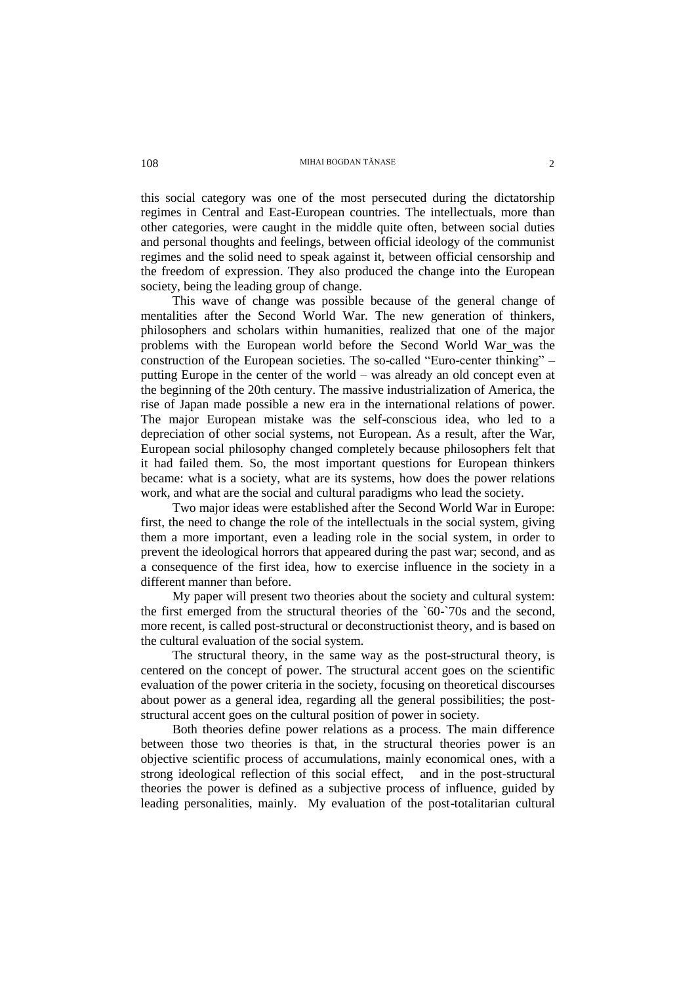this social category was one of the most persecuted during the dictatorship regimes in Central and East-European countries. The intellectuals, more than other categories, were caught in the middle quite often, between social duties and personal thoughts and feelings, between official ideology of the communist regimes and the solid need to speak against it, between official censorship and the freedom of expression. They also produced the change into the European society, being the leading group of change.

This wave of change was possible because of the general change of mentalities after the Second World War. The new generation of thinkers, philosophers and scholars within humanities, realized that one of the major problems with the European world before the Second World War was the construction of the European societies. The so-called "Euro-center thinking" – putting Europe in the center of the world – was already an old concept even at the beginning of the 20th century. The massive industrialization of America, the rise of Japan made possible a new era in the international relations of power. The major European mistake was the self-conscious idea, who led to a depreciation of other social systems, not European. As a result, after the War, European social philosophy changed completely because philosophers felt that it had failed them. So, the most important questions for European thinkers became: what is a society, what are its systems, how does the power relations work, and what are the social and cultural paradigms who lead the society.

Two major ideas were established after the Second World War in Europe: first, the need to change the role of the intellectuals in the social system, giving them a more important, even a leading role in the social system, in order to prevent the ideological horrors that appeared during the past war; second, and as a consequence of the first idea, how to exercise influence in the society in a different manner than before.

My paper will present two theories about the society and cultural system: the first emerged from the structural theories of the `60-`70s and the second, more recent, is called post-structural or deconstructionist theory, and is based on the cultural evaluation of the social system.

The structural theory, in the same way as the post-structural theory, is centered on the concept of power. The structural accent goes on the scientific evaluation of the power criteria in the society, focusing on theoretical discourses about power as a general idea, regarding all the general possibilities; the poststructural accent goes on the cultural position of power in society.

Both theories define power relations as a process. The main difference between those two theories is that, in the structural theories power is an objective scientific process of accumulations, mainly economical ones, with a strong ideological reflection of this social effect, and in the post-structural theories the power is defined as a subjective process of influence, guided by leading personalities, mainly. My evaluation of the post-totalitarian cultural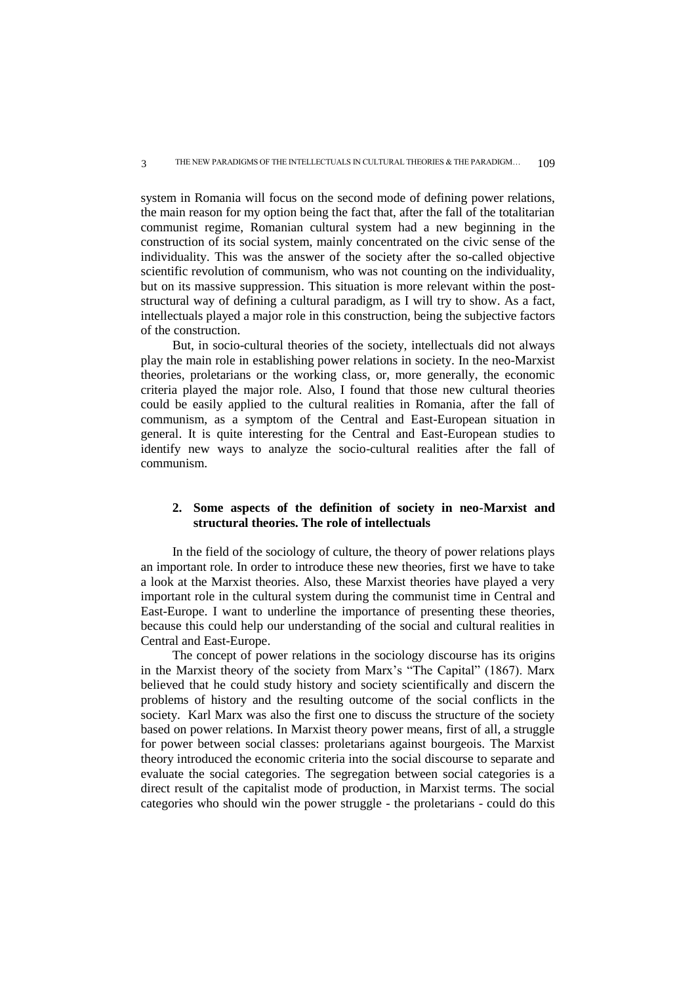system in Romania will focus on the second mode of defining power relations, the main reason for my option being the fact that, after the fall of the totalitarian communist regime, Romanian cultural system had a new beginning in the construction of its social system, mainly concentrated on the civic sense of the individuality. This was the answer of the society after the so-called objective scientific revolution of communism, who was not counting on the individuality, but on its massive suppression. This situation is more relevant within the poststructural way of defining a cultural paradigm, as I will try to show. As a fact, intellectuals played a major role in this construction, being the subjective factors of the construction.

But, in socio-cultural theories of the society, intellectuals did not always play the main role in establishing power relations in society. In the neo-Marxist theories, proletarians or the working class, or, more generally, the economic criteria played the major role. Also, I found that those new cultural theories could be easily applied to the cultural realities in Romania, after the fall of communism, as a symptom of the Central and East-European situation in general. It is quite interesting for the Central and East-European studies to identify new ways to analyze the socio-cultural realities after the fall of communism.

## **2. Some aspects of the definition of society in neo-Marxist and structural theories. The role of intellectuals**

In the field of the sociology of culture, the theory of power relations plays an important role. In order to introduce these new theories, first we have to take a look at the Marxist theories. Also, these Marxist theories have played a very important role in the cultural system during the communist time in Central and East-Europe. I want to underline the importance of presenting these theories, because this could help our understanding of the social and cultural realities in Central and East-Europe.

The concept of power relations in the sociology discourse has its origins in the Marxist theory of the society from Marx's "The Capital" (1867). Marx believed that he could study history and society scientifically and discern the problems of history and the resulting outcome of the social conflicts in the society. Karl Marx was also the first one to discuss the structure of the society based on power relations. In Marxist theory power means, first of all, a struggle for power between social classes: proletarians against bourgeois. The Marxist theory introduced the economic criteria into the social discourse to separate and evaluate the social categories. The segregation between social categories is a direct result of the capitalist mode of production, in Marxist terms. The social categories who should win the power struggle - the proletarians - could do this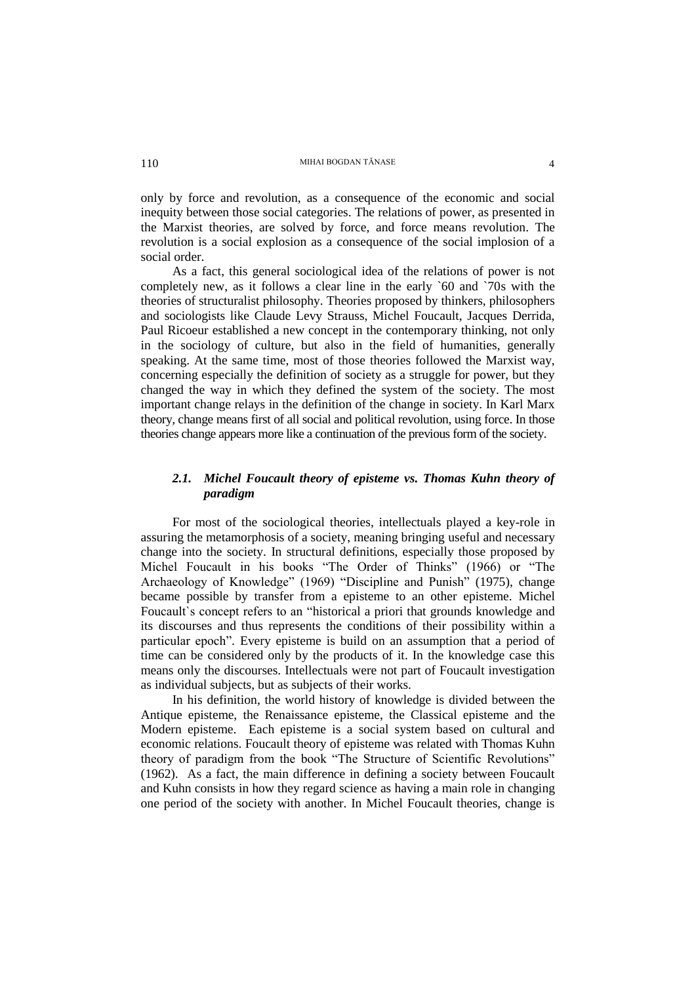only by force and revolution, as a consequence of the economic and social inequity between those social categories. The relations of power, as presented in the Marxist theories, are solved by force, and force means revolution. The revolution is a social explosion as a consequence of the social implosion of a social order.

As a fact, this general sociological idea of the relations of power is not completely new, as it follows a clear line in the early `60 and `70s with the theories of structuralist philosophy. Theories proposed by thinkers, philosophers and sociologists like Claude Levy Strauss, Michel Foucault, Jacques Derrida, Paul Ricoeur established a new concept in the contemporary thinking, not only in the sociology of culture, but also in the field of humanities, generally speaking. At the same time, most of those theories followed the Marxist way, concerning especially the definition of society as a struggle for power, but they changed the way in which they defined the system of the society. The most important change relays in the definition of the change in society. In Karl Marx theory, change means first of all social and political revolution, using force. In those theories change appears more like a continuation of the previous form of the society.

# *2.1. Michel Foucault theory of episteme vs. Thomas Kuhn theory of paradigm*

For most of the sociological theories, intellectuals played a key-role in assuring the metamorphosis of a society, meaning bringing useful and necessary change into the society. In structural definitions, especially those proposed by Michel Foucault in his books "The Order of Thinks" (1966) or "The Archaeology of Knowledge" (1969) "Discipline and Punish" (1975), change became possible by transfer from a episteme to an other episteme. Michel Foucault`s concept refers to an "historical a priori that grounds knowledge and its discourses and thus represents the conditions of their possibility within a particular epoch". Every episteme is build on an assumption that a period of time can be considered only by the products of it. In the knowledge case this means only the discourses. Intellectuals were not part of Foucault investigation as individual subjects, but as subjects of their works.

In his definition, the world history of knowledge is divided between the Antique episteme, the Renaissance episteme, the Classical episteme and the Modern episteme. Each episteme is a social system based on cultural and economic relations. Foucault theory of episteme was related with Thomas Kuhn theory of paradigm from the book "The Structure of Scientific Revolutions" (1962). As a fact, the main difference in defining a society between Foucault and Kuhn consists in how they regard science as having a main role in changing one period of the society with another. In Michel Foucault theories, change is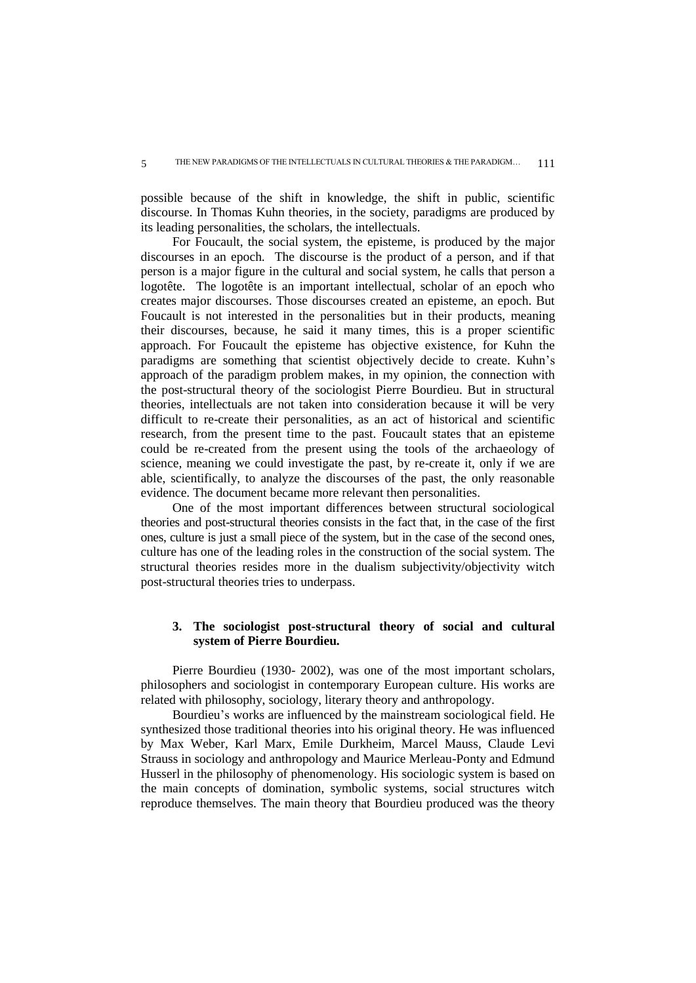possible because of the shift in knowledge, the shift in public, scientific discourse. In Thomas Kuhn theories, in the society, paradigms are produced by its leading personalities, the scholars, the intellectuals.

For Foucault, the social system, the episteme, is produced by the major discourses in an epoch. The discourse is the product of a person, and if that person is a major figure in the cultural and social system, he calls that person a logotête. The logotête is an important intellectual, scholar of an epoch who creates major discourses. Those discourses created an episteme, an epoch. But Foucault is not interested in the personalities but in their products, meaning their discourses, because, he said it many times, this is a proper scientific approach. For Foucault the episteme has objective existence, for Kuhn the paradigms are something that scientist objectively decide to create. Kuhn's approach of the paradigm problem makes, in my opinion, the connection with the post-structural theory of the sociologist Pierre Bourdieu. But in structural theories, intellectuals are not taken into consideration because it will be very difficult to re-create their personalities, as an act of historical and scientific research, from the present time to the past. Foucault states that an episteme could be re-created from the present using the tools of the archaeology of science, meaning we could investigate the past, by re-create it, only if we are able, scientifically, to analyze the discourses of the past, the only reasonable evidence. The document became more relevant then personalities.

One of the most important differences between structural sociological theories and post-structural theories consists in the fact that, in the case of the first ones, culture is just a small piece of the system, but in the case of the second ones, culture has one of the leading roles in the construction of the social system. The structural theories resides more in the dualism subjectivity/objectivity witch post-structural theories tries to underpass.

## **3. The sociologist post-structural theory of social and cultural system of Pierre Bourdieu.**

Pierre Bourdieu (1930- 2002), was one of the most important scholars, philosophers and sociologist in contemporary European culture. His works are related with philosophy, sociology, literary theory and anthropology.

Bourdieu's works are influenced by the mainstream sociological field. He synthesized those traditional theories into his original theory. He was influenced by Max Weber, Karl Marx, Emile Durkheim, Marcel Mauss, Claude Levi Strauss in sociology and anthropology and Maurice Merleau-Ponty and Edmund Husserl in the philosophy of phenomenology. His sociologic system is based on the main concepts of domination, symbolic systems, social structures witch reproduce themselves. The main theory that Bourdieu produced was the theory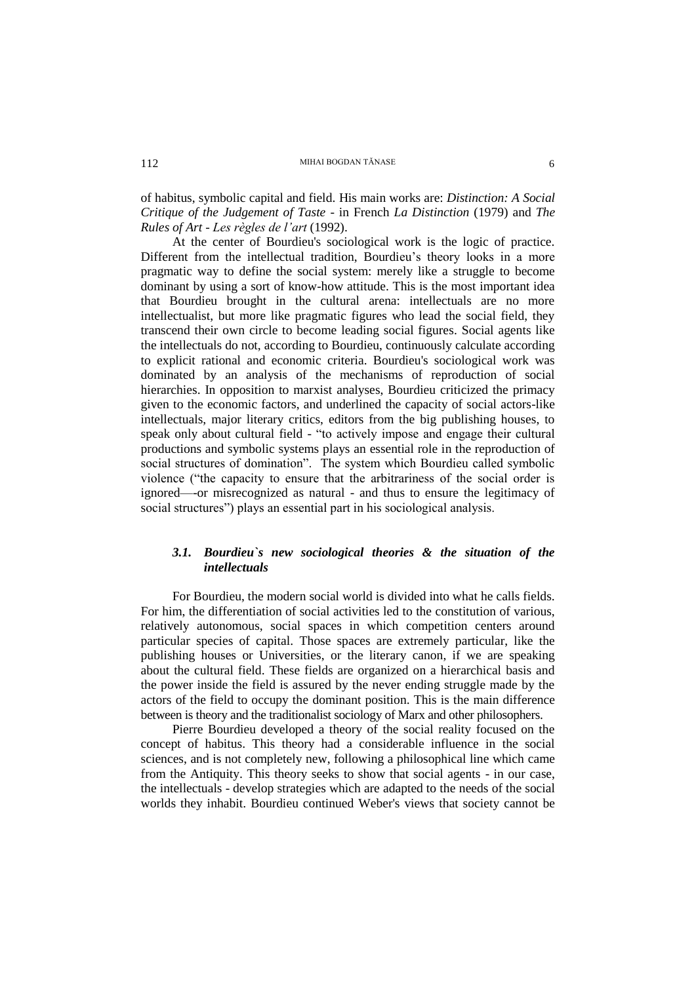of habitus, symbolic capital and field. His main works are: *Distinction: A Social Critique of the Judgement of Taste* - in French *La Distinction* (1979) and *The Rules of Art* - *Les règles de l'art* (1992).

At the center of Bourdieu's sociological work is the logic of practice. Different from the intellectual tradition, Bourdieu's theory looks in a more pragmatic way to define the social system: merely like a struggle to become dominant by using a sort of know-how attitude. This is the most important idea that Bourdieu brought in the cultural arena: intellectuals are no more intellectualist, but more like pragmatic figures who lead the social field, they transcend their own circle to become leading social figures. Social agents like the intellectuals do not, according to Bourdieu, continuously calculate according to explicit rational and economic criteria. Bourdieu's sociological work was dominated by an analysis of the mechanisms of reproduction of social hierarchies. In opposition to marxist analyses, Bourdieu criticized the primacy given to the economic factors, and underlined the capacity of social actors-like intellectuals, major literary critics, editors from the big publishing houses, to speak only about cultural field - "to actively impose and engage their cultural productions and symbolic systems plays an essential role in the reproduction of social structures of domination". The system which Bourdieu called symbolic violence ("the capacity to ensure that the arbitrariness of the social order is ignored—-or misrecognized as natural - and thus to ensure the legitimacy of social structures") plays an essential part in his sociological analysis.

# *3.1. Bourdieu`s new sociological theories & the situation of the intellectuals*

For Bourdieu, the modern social world is divided into what he calls fields. For him, the differentiation of social activities led to the constitution of various, relatively autonomous, social spaces in which competition centers around particular species of capital. Those spaces are extremely particular, like the publishing houses or Universities, or the literary canon, if we are speaking about the cultural field. These fields are organized on a hierarchical basis and the power inside the field is assured by the never ending struggle made by the actors of the field to occupy the dominant position. This is the main difference between is theory and the traditionalist sociology of Marx and other philosophers.

Pierre Bourdieu developed a theory of the social reality focused on the concept of habitus. This theory had a considerable influence in the social sciences, and is not completely new, following a philosophical line which came from the Antiquity. This theory seeks to show that social agents - in our case, the intellectuals - develop strategies which are adapted to the needs of the social worlds they inhabit. Bourdieu continued Weber's views that society cannot be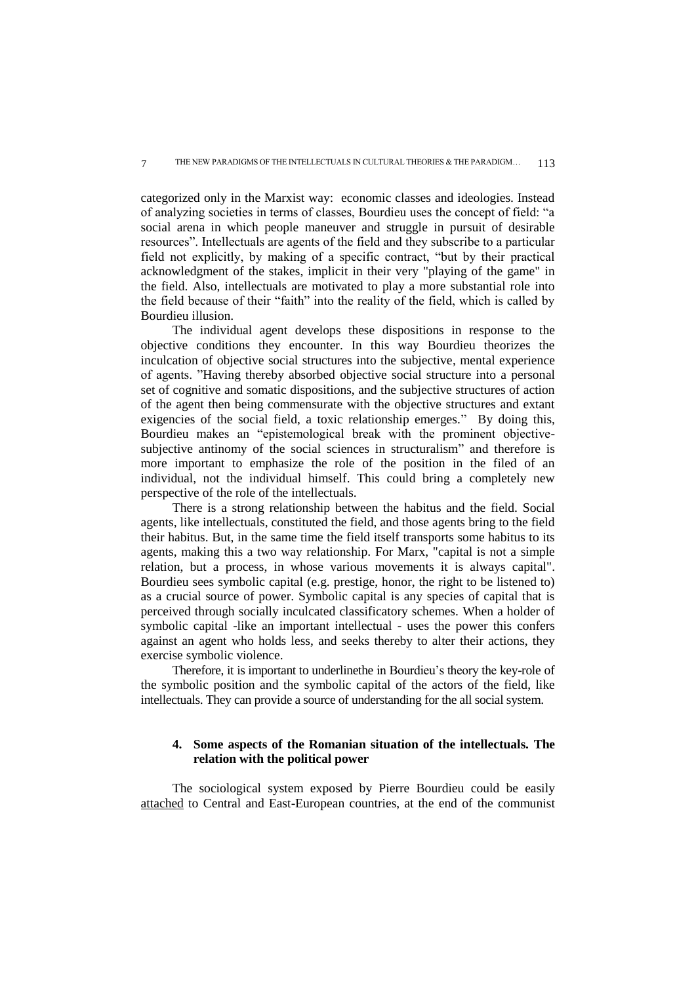categorized only in the Marxist way: economic classes and ideologies. Instead of analyzing societies in terms of classes, Bourdieu uses the concept of field: "a social arena in which people maneuver and struggle in pursuit of desirable resources". Intellectuals are agents of the field and they subscribe to a particular field not explicitly, by making of a specific contract, "but by their practical acknowledgment of the stakes, implicit in their very "playing of the game" in the field. Also, intellectuals are motivated to play a more substantial role into the field because of their "faith" into the reality of the field, which is called by Bourdieu illusion.

The individual agent develops these dispositions in response to the objective conditions they encounter. In this way Bourdieu theorizes the inculcation of objective social structures into the subjective, mental experience of agents. "Having thereby absorbed objective social structure into a personal set of cognitive and somatic dispositions, and the subjective structures of action of the agent then being commensurate with the objective structures and extant exigencies of the social field, a toxic relationship emerges." By doing this, Bourdieu makes an "epistemological break with the prominent objectivesubjective antinomy of the social sciences in structuralism" and therefore is more important to emphasize the role of the position in the filed of an individual, not the individual himself. This could bring a completely new perspective of the role of the intellectuals.

There is a strong relationship between the habitus and the field. Social agents, like intellectuals, constituted the field, and those agents bring to the field their habitus. But, in the same time the field itself transports some habitus to its agents, making this a two way relationship. For Marx, "capital is not a simple relation, but a process, in whose various movements it is always capital". Bourdieu sees symbolic capital (e.g. prestige, honor, the right to be listened to) as a crucial source of power. Symbolic capital is any species of capital that is perceived through socially inculcated classificatory schemes. When a holder of symbolic capital -like an important intellectual - uses the power this confers against an agent who holds less, and seeks thereby to alter their actions, they exercise symbolic violence.

Therefore, it is important to underlinethe in Bourdieu's theory the key-role of the symbolic position and the symbolic capital of the actors of the field, like intellectuals. They can provide a source of understanding for the all social system.

# **4. Some aspects of the Romanian situation of the intellectuals. The relation with the political power**

The sociological system exposed by Pierre Bourdieu could be easily attached to Central and East-European countries, at the end of the communist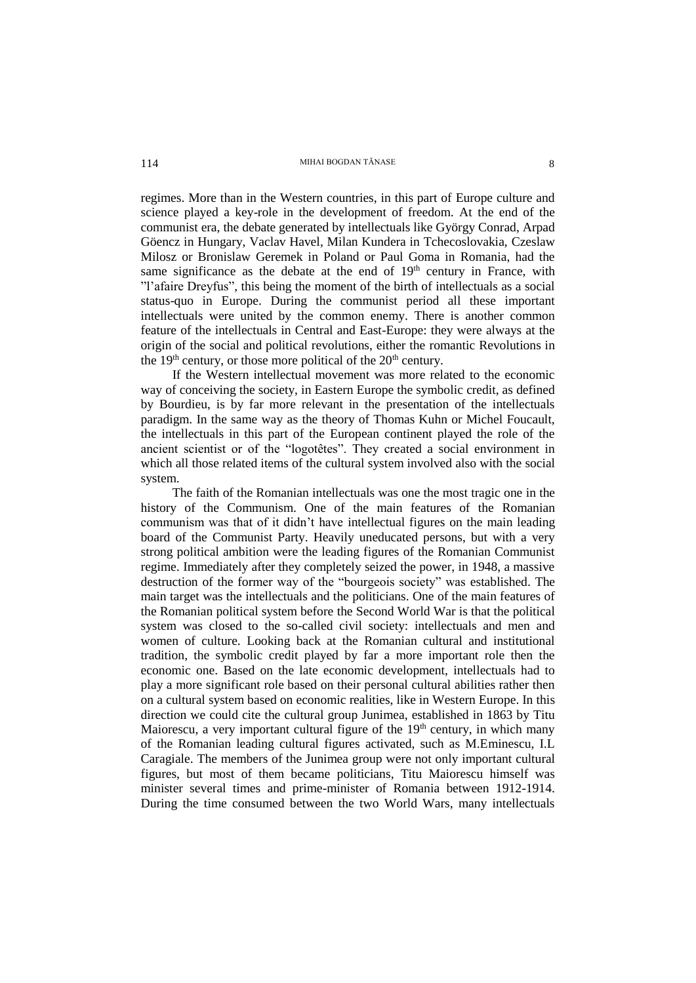regimes. More than in the Western countries, in this part of Europe culture and science played a key-role in the development of freedom. At the end of the communist era, the debate generated by intellectuals like György Conrad, Arpad Göencz in Hungary, Vaclav Havel, Milan Kundera in Tchecoslovakia, Czeslaw Milosz or Bronislaw Geremek in Poland or Paul Goma in Romania, had the same significance as the debate at the end of  $19<sup>th</sup>$  century in France, with "l'afaire Dreyfus", this being the moment of the birth of intellectuals as a social status-quo in Europe. During the communist period all these important intellectuals were united by the common enemy. There is another common feature of the intellectuals in Central and East-Europe: they were always at the origin of the social and political revolutions, either the romantic Revolutions in the  $19<sup>th</sup>$  century, or those more political of the  $20<sup>th</sup>$  century.

If the Western intellectual movement was more related to the economic way of conceiving the society, in Eastern Europe the symbolic credit, as defined by Bourdieu, is by far more relevant in the presentation of the intellectuals paradigm. In the same way as the theory of Thomas Kuhn or Michel Foucault, the intellectuals in this part of the European continent played the role of the ancient scientist or of the "logotêtes". They created a social environment in which all those related items of the cultural system involved also with the social system.

The faith of the Romanian intellectuals was one the most tragic one in the history of the Communism. One of the main features of the Romanian communism was that of it didn't have intellectual figures on the main leading board of the Communist Party. Heavily uneducated persons, but with a very strong political ambition were the leading figures of the Romanian Communist regime. Immediately after they completely seized the power, in 1948, a massive destruction of the former way of the "bourgeois society" was established. The main target was the intellectuals and the politicians. One of the main features of the Romanian political system before the Second World War is that the political system was closed to the so-called civil society: intellectuals and men and women of culture. Looking back at the Romanian cultural and institutional tradition, the symbolic credit played by far a more important role then the economic one. Based on the late economic development, intellectuals had to play a more significant role based on their personal cultural abilities rather then on a cultural system based on economic realities, like in Western Europe. In this direction we could cite the cultural group Junimea, established in 1863 by Titu Maiorescu, a very important cultural figure of the  $19<sup>th</sup>$  century, in which many of the Romanian leading cultural figures activated, such as M.Eminescu, I.L Caragiale. The members of the Junimea group were not only important cultural figures, but most of them became politicians, Titu Maiorescu himself was minister several times and prime-minister of Romania between 1912-1914. During the time consumed between the two World Wars, many intellectuals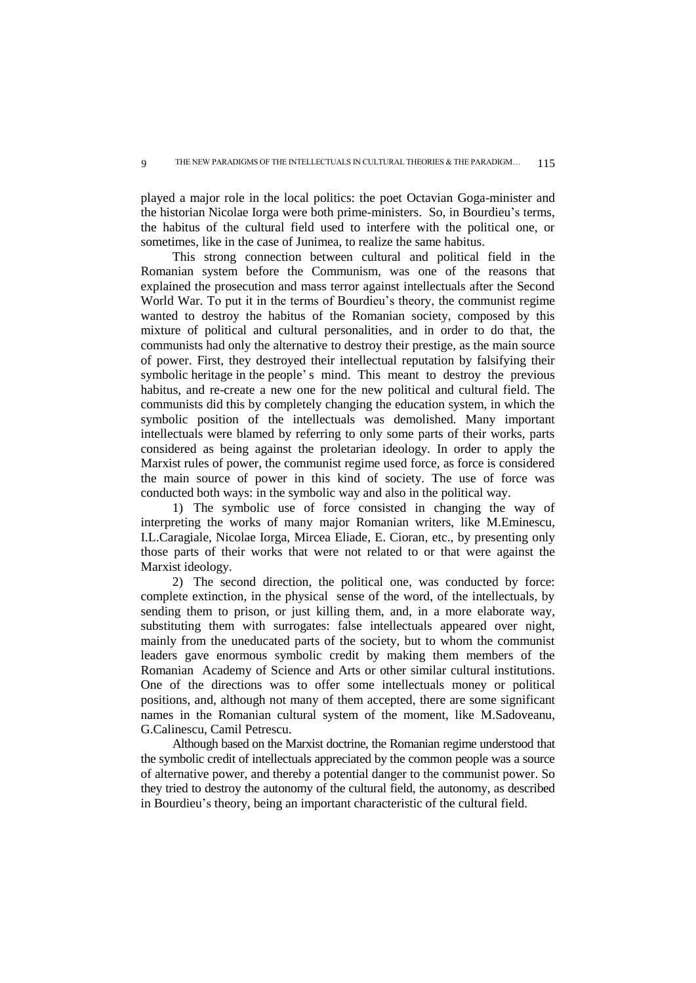9

played a major role in the local politics: the poet Octavian Goga-minister and the historian Nicolae Iorga were both prime-ministers. So, in Bourdieu's terms, the habitus of the cultural field used to interfere with the political one, or sometimes, like in the case of Junimea, to realize the same habitus.

This strong connection between cultural and political field in the Romanian system before the Communism, was one of the reasons that explained the prosecution and mass terror against intellectuals after the Second World War. To put it in the terms of Bourdieu's theory, the communist regime wanted to destroy the habitus of the Romanian society, composed by this mixture of political and cultural personalities, and in order to do that, the communists had only the alternative to destroy their prestige, as the main source of power. First, they destroyed their intellectual reputation by falsifying their symbolic heritage in the people's mind. This meant to destroy the previous habitus, and re-create a new one for the new political and cultural field. The communists did this by completely changing the education system, in which the symbolic position of the intellectuals was demolished. Many important intellectuals were blamed by referring to only some parts of their works, parts considered as being against the proletarian ideology. In order to apply the Marxist rules of power, the communist regime used force, as force is considered the main source of power in this kind of society. The use of force was conducted both ways: in the symbolic way and also in the political way.

1) The symbolic use of force consisted in changing the way of interpreting the works of many major Romanian writers, like M.Eminescu, I.L.Caragiale, Nicolae Iorga, Mircea Eliade, E. Cioran, etc., by presenting only those parts of their works that were not related to or that were against the Marxist ideology.

2) The second direction, the political one, was conducted by force: complete extinction, in the physical sense of the word, of the intellectuals, by sending them to prison, or just killing them, and, in a more elaborate way, substituting them with surrogates: false intellectuals appeared over night, mainly from the uneducated parts of the society, but to whom the communist leaders gave enormous symbolic credit by making them members of the Romanian Academy of Science and Arts or other similar cultural institutions. One of the directions was to offer some intellectuals money or political positions, and, although not many of them accepted, there are some significant names in the Romanian cultural system of the moment, like M.Sadoveanu, G.Calinescu, Camil Petrescu.

Although based on the Marxist doctrine, the Romanian regime understood that the symbolic credit of intellectuals appreciated by the common people was a source of alternative power, and thereby a potential danger to the communist power. So they tried to destroy the autonomy of the cultural field, the autonomy, as described in Bourdieu's theory, being an important characteristic of the cultural field.